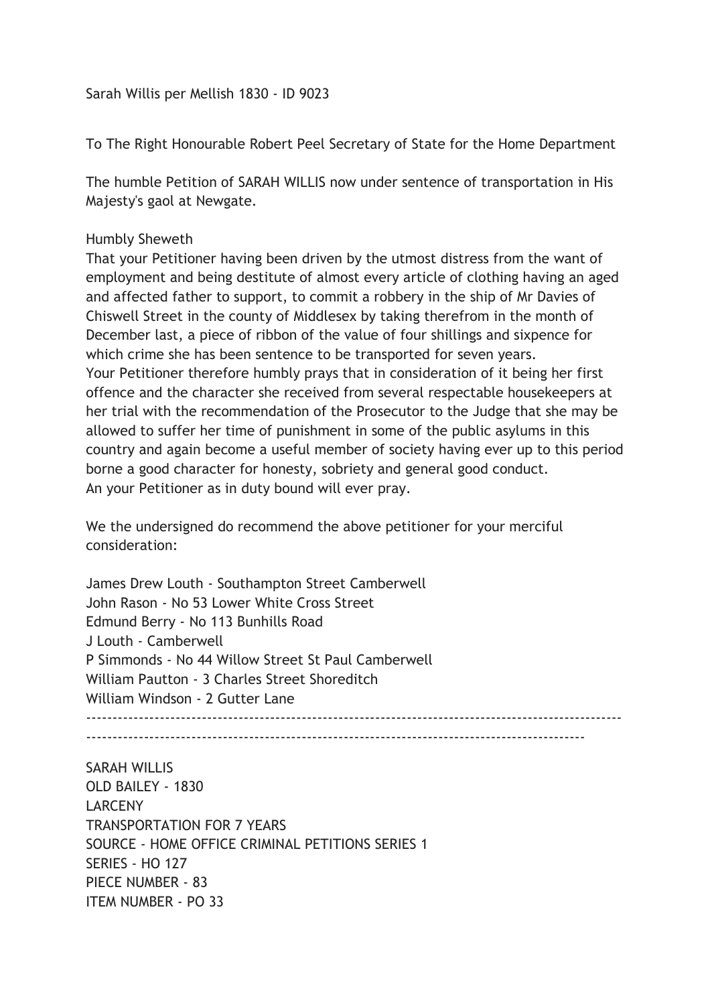Sarah Willis per Mellish 1830 - ID 9023

To The Right Honourable Robert Peel Secretary of State for the Home Department

The humble Petition of SARAH WILLIS now under sentence of transportation in His Majesty's gaol at Newgate.

## Humbly Sheweth

That your Petitioner having been driven by the utmost distress from the want of employment and being destitute of almost every article of clothing having an aged and affected father to support, to commit a robbery in the ship of Mr Davies of Chiswell Street in the county of Middlesex by taking therefrom in the month of December last, a piece of ribbon of the value of four shillings and sixpence for which crime she has been sentence to be transported for seven years. Your Petitioner therefore humbly prays that in consideration of it being her first offence and the character she received from several respectable housekeepers at her trial with the recommendation of the Prosecutor to the Judge that she may be allowed to suffer her time of punishment in some of the public asylums in this country and again become a useful member of society having ever up to this period borne a good character for honesty, sobriety and general good conduct. An your Petitioner as in duty bound will ever pray.

We the undersigned do recommend the above petitioner for your merciful consideration:

James Drew Louth - Southampton Street Camberwell John Rason - No 53 Lower White Cross Street Edmund Berry - No 113 Bunhills Road J Louth - Camberwell P Simmonds - No 44 Willow Street St Paul Camberwell William Pautton - 3 Charles Street Shoreditch William Windson - 2 Gutter Lane  $-$ 

-----------------------------------------------------------------------------------------------

SARAH WILLIS OLD BAILEY - 1830 LARCENY TRANSPORTATION FOR 7 YEARS SOURCE - HOME OFFICE CRIMINAL PETITIONS SERIES 1 SERIES - HO 127 PIECE NUMBER - 83 ITEM NUMBER - PO 33